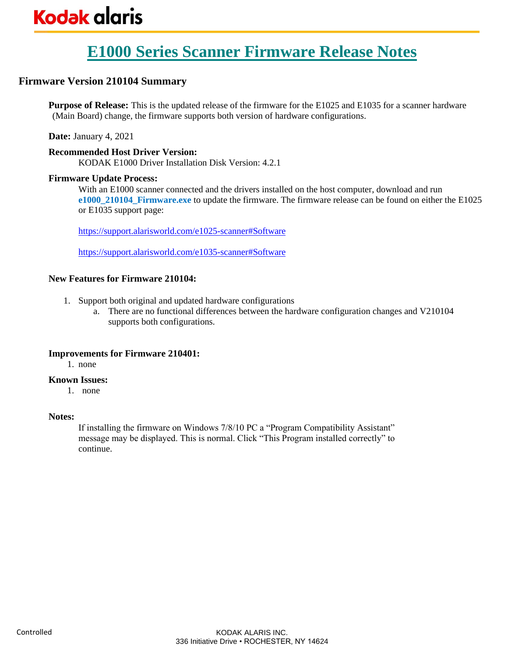# **E1000 Series Scanner Firmware Release Notes**

## **Firmware Version 210104 Summary**

**Purpose of Release:** This is the updated release of the firmware for the E1025 and E1035 for a scanner hardware (Main Board) change, the firmware supports both version of hardware configurations.

**Date:** January 4, 2021

#### **Recommended Host Driver Version:**

KODAK E1000 Driver Installation Disk Version: 4.2.1

#### **Firmware Update Process:**

With an E1000 scanner connected and the drivers installed on the host computer, download and run **e1000\_210104\_Firmware.exe** to update the firmware. The firmware release can be found on either the E1025 or E1035 support page:

<https://support.alarisworld.com/e1025-scanner#Software>

<https://support.alarisworld.com/e1035-scanner#Software>

#### **New Features for Firmware 210104:**

- 1. Support both original and updated hardware configurations
	- a. There are no functional differences between the hardware configuration changes and V210104 supports both configurations.

#### **Improvements for Firmware 210401:**

1. none

#### **Known Issues:**

1. none

#### **Notes:**

If installing the firmware on Windows 7/8/10 PC a "Program Compatibility Assistant" message may be displayed. This is normal. Click "This Program installed correctly" to continue.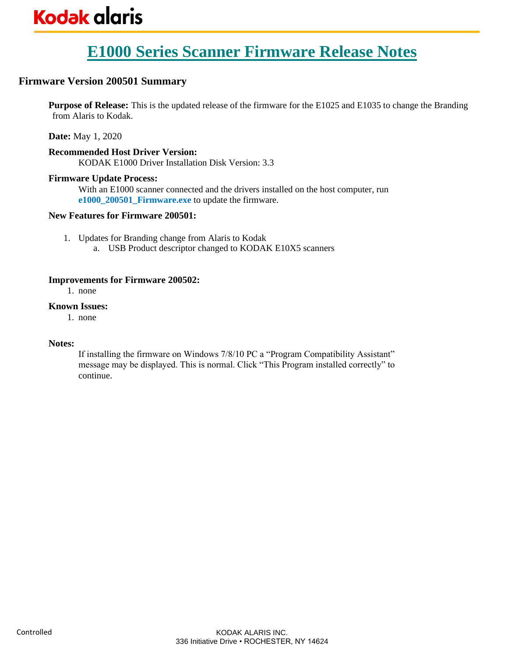# **E1000 Series Scanner Firmware Release Notes**

## **Firmware Version 200501 Summary**

**Purpose of Release:** This is the updated release of the firmware for the E1025 and E1035 to change the Branding from Alaris to Kodak.

**Date:** May 1, 2020

#### **Recommended Host Driver Version:**

KODAK E1000 Driver Installation Disk Version: 3.3

#### **Firmware Update Process:**

With an E1000 scanner connected and the drivers installed on the host computer, run **e1000\_200501\_Firmware.exe** to update the firmware.

#### **New Features for Firmware 200501:**

- 1. Updates for Branding change from Alaris to Kodak
	- a. USB Product descriptor changed to KODAK E10X5 scanners

#### **Improvements for Firmware 200502:**

1. none

#### **Known Issues:**

1. none

#### **Notes:**

If installing the firmware on Windows 7/8/10 PC a "Program Compatibility Assistant" message may be displayed. This is normal. Click "This Program installed correctly" to continue.